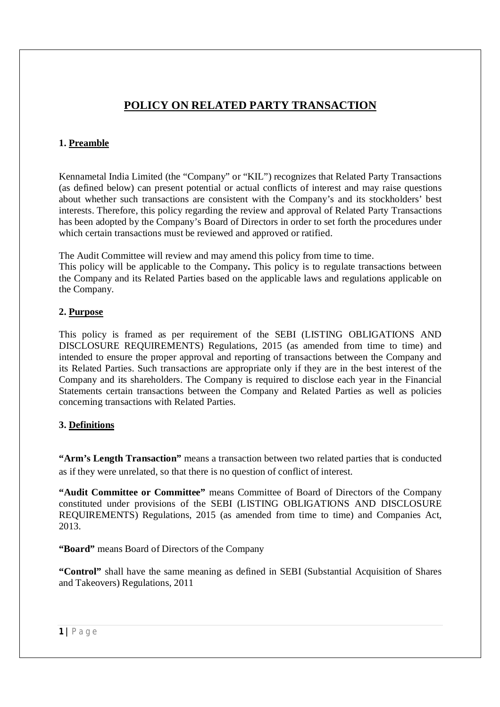# **POLICY ON RELATED PARTY TRANSACTION**

## **1. Preamble**

Kennametal India Limited (the "Company" or "KIL") recognizes that Related Party Transactions (as defined below) can present potential or actual conflicts of interest and may raise questions about whether such transactions are consistent with the Company's and its stockholders' best interests. Therefore, this policy regarding the review and approval of Related Party Transactions has been adopted by the Company's Board of Directors in order to set forth the procedures under which certain transactions must be reviewed and approved or ratified.

The Audit Committee will review and may amend this policy from time to time.

This policy will be applicable to the Company**.** This policy is to regulate transactions between the Company and its Related Parties based on the applicable laws and regulations applicable on the Company.

### **2. Purpose**

This policy is framed as per requirement of the SEBI (LISTING OBLIGATIONS AND DISCLOSURE REQUIREMENTS) Regulations, 2015 (as amended from time to time) and intended to ensure the proper approval and reporting of transactions between the Company and its Related Parties. Such transactions are appropriate only if they are in the best interest of the Company and its shareholders. The Company is required to disclose each year in the Financial Statements certain transactions between the Company and Related Parties as well as policies concerning transactions with Related Parties.

### **3. Definitions**

**"Arm's Length Transaction"** means a transaction between two related parties that is conducted as if they were unrelated, so that there is no question of conflict of interest.

**"Audit Committee or Committee"** means Committee of Board of Directors of the Company constituted under provisions of the SEBI (LISTING OBLIGATIONS AND DISCLOSURE REQUIREMENTS) Regulations, 2015 (as amended from time to time) and Companies Act, 2013.

**"Board"** means Board of Directors of the Company

**"Control"** shall have the same meaning as defined in SEBI (Substantial Acquisition of Shares and Takeovers) Regulations, 2011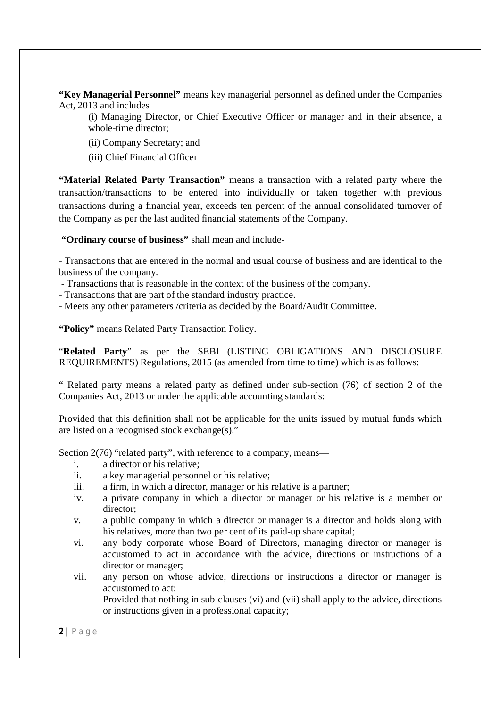**"Key Managerial Personnel"** means key managerial personnel as defined under the Companies Act, 2013 and includes

(i) Managing Director, or Chief Executive Officer or manager and in their absence, a whole-time director;

- (ii) Company Secretary; and
- (iii) Chief Financial Officer

**"Material Related Party Transaction"** means a transaction with a related party where the transaction/transactions to be entered into individually or taken together with previous transactions during a financial year, exceeds ten percent of the annual consolidated turnover of the Company as per the last audited financial statements of the Company.

**"Ordinary course of business"** shall mean and include-

- Transactions that are entered in the normal and usual course of business and are identical to the business of the company.

- Transactions that is reasonable in the context of the business of the company.

- Transactions that are part of the standard industry practice.

- Meets any other parameters /criteria as decided by the Board/Audit Committee.

**"Policy"** means Related Party Transaction Policy.

"**Related Party**" as per the SEBI (LISTING OBLIGATIONS AND DISCLOSURE REQUIREMENTS) Regulations, 2015 (as amended from time to time) which is as follows:

" Related party means a related party as defined under sub-section (76) of section 2 of the Companies Act, 2013 or under the applicable accounting standards:

Provided that this definition shall not be applicable for the units issued by mutual funds which are listed on a recognised stock exchange(s)."

Section 2(76) "related party", with reference to a company, means—

- i. a director or his relative;
- ii. a key managerial personnel or his relative;
- iii. a firm, in which a director, manager or his relative is a partner;
- iv. a private company in which a director or manager or his relative is a member or director;
- v. a public company in which a director or manager is a director and holds along with his relatives, more than two per cent of its paid-up share capital;
- vi. any body corporate whose Board of Directors, managing director or manager is accustomed to act in accordance with the advice, directions or instructions of a director or manager;
- vii. any person on whose advice, directions or instructions a director or manager is accustomed to act:

Provided that nothing in sub-clauses (vi) and (vii) shall apply to the advice, directions or instructions given in a professional capacity;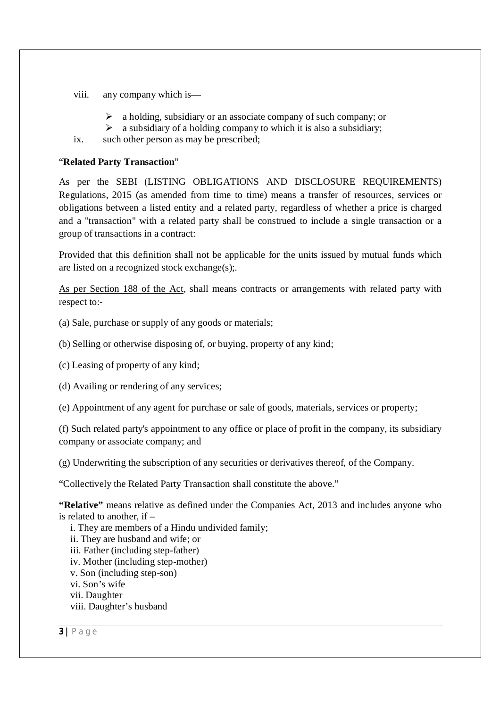- viii. any company which is—
	- $\triangleright$  a holding, subsidiary or an associate company of such company; or
	- $\triangleright$  a subsidiary of a holding company to which it is also a subsidiary;

ix. such other person as may be prescribed;

#### "**Related Party Transaction**"

As per the SEBI (LISTING OBLIGATIONS AND DISCLOSURE REQUIREMENTS) Regulations, 2015 (as amended from time to time) means a transfer of resources, services or obligations between a listed entity and a related party, regardless of whether a price is charged and a "transaction" with a related party shall be construed to include a single transaction or a group of transactions in a contract:

Provided that this definition shall not be applicable for the units issued by mutual funds which are listed on a recognized stock exchange(s);.

As per Section 188 of the Act, shall means contracts or arrangements with related party with respect to:-

(a) Sale, purchase or supply of any goods or materials;

(b) Selling or otherwise disposing of, or buying, property of any kind;

(c) Leasing of property of any kind;

(d) Availing or rendering of any services;

(e) Appointment of any agent for purchase or sale of goods, materials, services or property;

(f) Such related party's appointment to any office or place of profit in the company, its subsidiary company or associate company; and

(g) Underwriting the subscription of any securities or derivatives thereof, of the Company.

"Collectively the Related Party Transaction shall constitute the above."

**"Relative"** means relative as defined under the Companies Act, 2013 and includes anyone who is related to another, if –

i. They are members of a Hindu undivided family;

ii. They are husband and wife; or

iii. Father (including step-father)

iv. Mother (including step-mother)

v. Son (including step-son)

vi. Son's wife

vii. Daughter

viii. Daughter's husband

**3 |** P a g e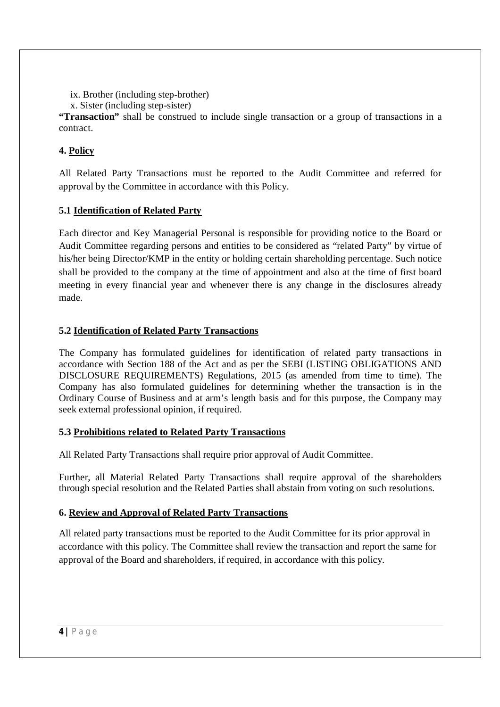ix. Brother (including step-brother)

```
x. Sister (including step-sister)
```
**"Transaction"** shall be construed to include single transaction or a group of transactions in a contract.

# **4. Policy**

All Related Party Transactions must be reported to the Audit Committee and referred for approval by the Committee in accordance with this Policy.

# **5.1 Identification of Related Party**

Each director and Key Managerial Personal is responsible for providing notice to the Board or Audit Committee regarding persons and entities to be considered as "related Party" by virtue of his/her being Director/KMP in the entity or holding certain shareholding percentage. Such notice shall be provided to the company at the time of appointment and also at the time of first board meeting in every financial year and whenever there is any change in the disclosures already made.

# **5.2 Identification of Related Party Transactions**

The Company has formulated guidelines for identification of related party transactions in accordance with Section 188 of the Act and as per the SEBI (LISTING OBLIGATIONS AND DISCLOSURE REQUIREMENTS) Regulations, 2015 (as amended from time to time). The Company has also formulated guidelines for determining whether the transaction is in the Ordinary Course of Business and at arm's length basis and for this purpose, the Company may seek external professional opinion, if required.

# **5.3 Prohibitions related to Related Party Transactions**

All Related Party Transactions shall require prior approval of Audit Committee.

Further, all Material Related Party Transactions shall require approval of the shareholders through special resolution and the Related Parties shall abstain from voting on such resolutions.

# **6. Review and Approval of Related Party Transactions**

All related party transactions must be reported to the Audit Committee for its prior approval in accordance with this policy. The Committee shall review the transaction and report the same for approval of the Board and shareholders, if required, in accordance with this policy.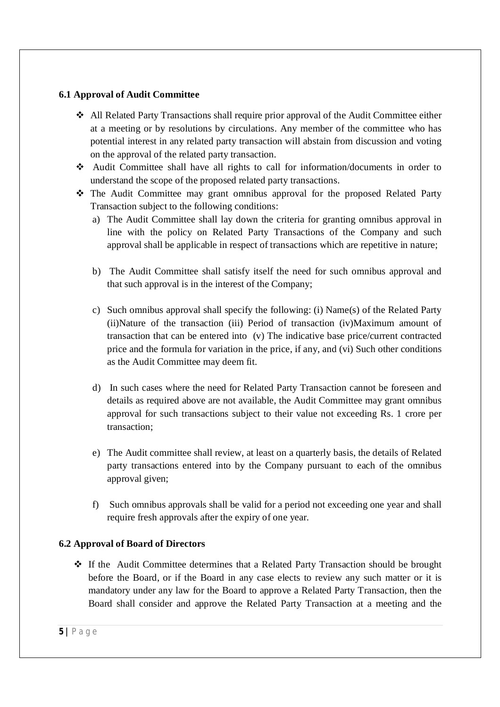#### **6.1 Approval of Audit Committee**

- All Related Party Transactions shall require prior approval of the Audit Committee either at a meeting or by resolutions by circulations. Any member of the committee who has potential interest in any related party transaction will abstain from discussion and voting on the approval of the related party transaction.
- Audit Committee shall have all rights to call for information/documents in order to understand the scope of the proposed related party transactions.
- The Audit Committee may grant omnibus approval for the proposed Related Party Transaction subject to the following conditions:
	- a) The Audit Committee shall lay down the criteria for granting omnibus approval in line with the policy on Related Party Transactions of the Company and such approval shall be applicable in respect of transactions which are repetitive in nature;
	- b) The Audit Committee shall satisfy itself the need for such omnibus approval and that such approval is in the interest of the Company;
	- c) Such omnibus approval shall specify the following: (i) Name(s) of the Related Party (ii)Nature of the transaction (iii) Period of transaction (iv)Maximum amount of transaction that can be entered into (v) The indicative base price/current contracted price and the formula for variation in the price, if any, and (vi) Such other conditions as the Audit Committee may deem fit.
	- d) In such cases where the need for Related Party Transaction cannot be foreseen and details as required above are not available, the Audit Committee may grant omnibus approval for such transactions subject to their value not exceeding Rs. 1 crore per transaction;
	- e) The Audit committee shall review, at least on a quarterly basis, the details of Related party transactions entered into by the Company pursuant to each of the omnibus approval given;
	- f) Such omnibus approvals shall be valid for a period not exceeding one year and shall require fresh approvals after the expiry of one year.

#### **6.2 Approval of Board of Directors**

 If the Audit Committee determines that a Related Party Transaction should be brought before the Board, or if the Board in any case elects to review any such matter or it is mandatory under any law for the Board to approve a Related Party Transaction, then the Board shall consider and approve the Related Party Transaction at a meeting and the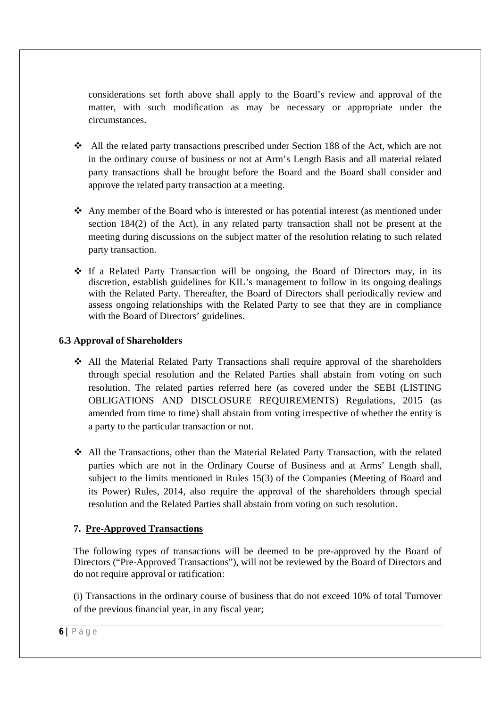considerations set forth above shall apply to the Board's review and approval of the matter, with such modification as may be necessary or appropriate under the circumstances.

- All the related party transactions prescribed under Section 188 of the Act, which are not in the ordinary course of business or not at Arm's Length Basis and all material related party transactions shall be brought before the Board and the Board shall consider and approve the related party transaction at a meeting.
- Any member of the Board who is interested or has potential interest (as mentioned under section 184(2) of the Act), in any related party transaction shall not be present at the meeting during discussions on the subject matter of the resolution relating to such related party transaction.
- $\div$  If a Related Party Transaction will be ongoing, the Board of Directors may, in its discretion, establish guidelines for KIL's management to follow in its ongoing dealings with the Related Party. Thereafter, the Board of Directors shall periodically review and assess ongoing relationships with the Related Party to see that they are in compliance with the Board of Directors' guidelines.

### **6.3 Approval of Shareholders**

- All the Material Related Party Transactions shall require approval of the shareholders through special resolution and the Related Parties shall abstain from voting on such resolution. The related parties referred here (as covered under the SEBI (LISTING OBLIGATIONS AND DISCLOSURE REQUIREMENTS) Regulations, 2015 (as amended from time to time) shall abstain from voting irrespective of whether the entity is a party to the particular transaction or not.
- All the Transactions, other than the Material Related Party Transaction, with the related parties which are not in the Ordinary Course of Business and at Arms' Length shall, subject to the limits mentioned in Rules 15(3) of the Companies (Meeting of Board and its Power) Rules, 2014, also require the approval of the shareholders through special resolution and the Related Parties shall abstain from voting on such resolution.

## **7. Pre-Approved Transactions**

The following types of transactions will be deemed to be pre-approved by the Board of Directors ("Pre-Approved Transactions"), will not be reviewed by the Board of Directors and do not require approval or ratification:

(i) Transactions in the ordinary course of business that do not exceed 10% of total Turnover of the previous financial year, in any fiscal year;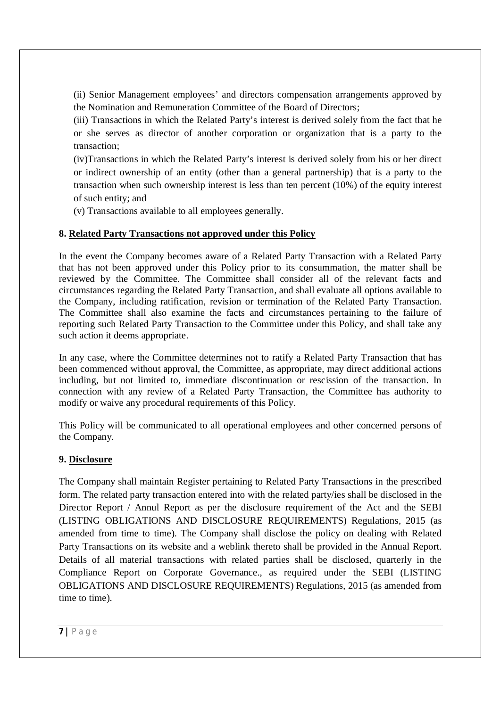(ii) Senior Management employees' and directors compensation arrangements approved by the Nomination and Remuneration Committee of the Board of Directors;

(iii) Transactions in which the Related Party's interest is derived solely from the fact that he or she serves as director of another corporation or organization that is a party to the transaction;

(iv)Transactions in which the Related Party's interest is derived solely from his or her direct or indirect ownership of an entity (other than a general partnership) that is a party to the transaction when such ownership interest is less than ten percent (10%) of the equity interest of such entity; and

(v) Transactions available to all employees generally.

### **8. Related Party Transactions not approved under this Policy**

In the event the Company becomes aware of a Related Party Transaction with a Related Party that has not been approved under this Policy prior to its consummation, the matter shall be reviewed by the Committee. The Committee shall consider all of the relevant facts and circumstances regarding the Related Party Transaction, and shall evaluate all options available to the Company, including ratification, revision or termination of the Related Party Transaction. The Committee shall also examine the facts and circumstances pertaining to the failure of reporting such Related Party Transaction to the Committee under this Policy, and shall take any such action it deems appropriate.

In any case, where the Committee determines not to ratify a Related Party Transaction that has been commenced without approval, the Committee, as appropriate, may direct additional actions including, but not limited to, immediate discontinuation or rescission of the transaction. In connection with any review of a Related Party Transaction, the Committee has authority to modify or waive any procedural requirements of this Policy.

This Policy will be communicated to all operational employees and other concerned persons of the Company.

### **9. Disclosure**

The Company shall maintain Register pertaining to Related Party Transactions in the prescribed form. The related party transaction entered into with the related party/ies shall be disclosed in the Director Report / Annul Report as per the disclosure requirement of the Act and the SEBI (LISTING OBLIGATIONS AND DISCLOSURE REQUIREMENTS) Regulations, 2015 (as amended from time to time). The Company shall disclose the policy on dealing with Related Party Transactions on its website and a weblink thereto shall be provided in the Annual Report. Details of all material transactions with related parties shall be disclosed, quarterly in the Compliance Report on Corporate Governance., as required under the SEBI (LISTING OBLIGATIONS AND DISCLOSURE REQUIREMENTS) Regulations, 2015 (as amended from time to time).